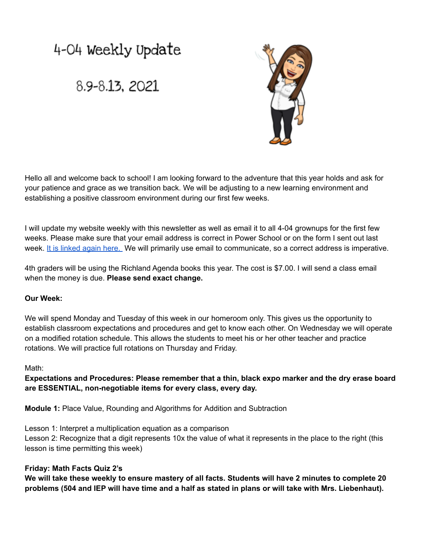# 4-04 Weekly Update

## 8.9-8.13, 2021



Hello all and welcome back to school! I am looking forward to the adventure that this year holds and ask for your patience and grace as we transition back. We will be adjusting to a new learning environment and establishing a positive classroom environment during our first few weeks.

I will update my website weekly with this newsletter as well as email it to all 4-04 grownups for the first few weeks. Please make sure that your email address is correct in Power School or on the form I sent out last week. It is [linked](https://docs.google.com/forms/d/e/1FAIpQLSfQh4bKCsqLnAH2U01RFX-yPKrokzhgRse5dkG_GDYfQGye6g/viewform?usp=sf_link) again here. We will primarily use email to communicate, so a correct address is imperative.

4th graders will be using the Richland Agenda books this year. The cost is \$7.00. I will send a class email when the money is due. **Please send exact change.**

### **Our Week:**

We will spend Monday and Tuesday of this week in our homeroom only. This gives us the opportunity to establish classroom expectations and procedures and get to know each other. On Wednesday we will operate on a modified rotation schedule. This allows the students to meet his or her other teacher and practice rotations. We will practice full rotations on Thursday and Friday.

### Math:

**Expectations and Procedures: Please remember that a thin, black expo marker and the dry erase board are ESSENTIAL, non-negotiable items for every class, every day.**

**Module 1:** Place Value, Rounding and Algorithms for Addition and Subtraction

Lesson 1: Interpret a multiplication equation as a comparison Lesson 2: Recognize that a digit represents 10x the value of what it represents in the place to the right (this lesson is time permitting this week)

### **Friday: Math Facts Quiz 2's**

We will take these weekly to ensure mastery of all facts. Students will have 2 minutes to complete 20 problems (504 and IEP will have time and a half as stated in plans or will take with Mrs. Liebenhaut).